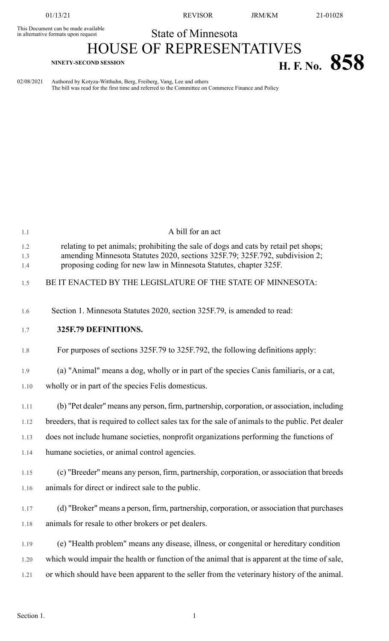This Document can be made available<br>in alternative formats upon request

01/13/21 REVISOR JRM/KM 21-01028

## State of Minnesota

## HOUSE OF REPRESENTATIVES **H. F. NO. 858 H. F. No. 858**

02/08/2021 Authored by Kotyza-Witthuhn, Berg, Freiberg, Vang, Lee and others The bill was read for the first time and referred to the Committee on Commerce Finance and Policy

| 1.1               | A bill for an act                                                                                                                                                                                                                        |
|-------------------|------------------------------------------------------------------------------------------------------------------------------------------------------------------------------------------------------------------------------------------|
| 1.2<br>1.3<br>1.4 | relating to pet animals; prohibiting the sale of dogs and cats by retail pet shops;<br>amending Minnesota Statutes 2020, sections 325F.79; 325F.792, subdivision 2;<br>proposing coding for new law in Minnesota Statutes, chapter 325F. |
| 1.5               | BE IT ENACTED BY THE LEGISLATURE OF THE STATE OF MINNESOTA:                                                                                                                                                                              |
| 1.6               | Section 1. Minnesota Statutes 2020, section 325F.79, is amended to read:                                                                                                                                                                 |
| 1.7               | 325F.79 DEFINITIONS.                                                                                                                                                                                                                     |
| 1.8               | For purposes of sections 325F.79 to 325F.792, the following definitions apply:                                                                                                                                                           |
| 1.9               | (a) "Animal" means a dog, wholly or in part of the species Canis familiaris, or a cat,                                                                                                                                                   |
| 1.10              | wholly or in part of the species Felis domesticus.                                                                                                                                                                                       |
| 1.11              | (b) "Pet dealer" means any person, firm, partnership, corporation, or association, including                                                                                                                                             |
| 1.12              | breeders, that is required to collect sales tax for the sale of animals to the public. Pet dealer                                                                                                                                        |
| 1.13              | does not include humane societies, nonprofit organizations performing the functions of                                                                                                                                                   |
| 1.14              | humane societies, or animal control agencies.                                                                                                                                                                                            |
| 1.15              | (c) "Breeder" means any person, firm, partnership, corporation, or association that breeds                                                                                                                                               |
| 1.16              | animals for direct or indirect sale to the public.                                                                                                                                                                                       |
| 1.17              | (d) "Broker" means a person, firm, partnership, corporation, or association that purchases                                                                                                                                               |
| 1.18              | animals for resale to other brokers or pet dealers.                                                                                                                                                                                      |
| 1.19              | (e) "Health problem" means any disease, illness, or congenital or hereditary condition                                                                                                                                                   |
| 1.20              | which would impair the health or function of the animal that is apparent at the time of sale,                                                                                                                                            |
| 1.21              | or which should have been apparent to the seller from the veterinary history of the animal.                                                                                                                                              |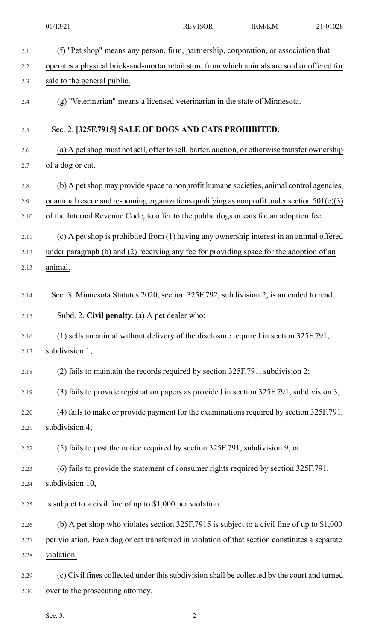REVISOR JRM/KM 21-01028

| 2.1  | (f) "Pet shop" means any person, firm, partnership, corporation, or association that           |
|------|------------------------------------------------------------------------------------------------|
| 2.2  | operates a physical brick-and-mortar retail store from which animals are sold or offered for   |
| 2.3  | sale to the general public.                                                                    |
| 2.4  | (g) "Veterinarian" means a licensed veterinarian in the state of Minnesota.                    |
| 2.5  | Sec. 2. [325F.7915] SALE OF DOGS AND CATS PROHIBITED.                                          |
| 2.6  | (a) A pet shop must not sell, offer to sell, barter, auction, or otherwise transfer ownership  |
| 2.7  | of a dog or cat.                                                                               |
| 2.8  | (b) A pet shop may provide space to nonprofit humane societies, animal control agencies,       |
| 2.9  | or animal rescue and re-homing organizations qualifying as nonprofit under section $501(c)(3)$ |
| 2.10 | of the Internal Revenue Code, to offer to the public dogs or cats for an adoption fee.         |
| 2.11 | (c) A pet shop is prohibited from (1) having any ownership interest in an animal offered       |
| 2.12 | under paragraph (b) and (2) receiving any fee for providing space for the adoption of an       |
| 2.13 | animal.                                                                                        |
|      |                                                                                                |
| 2.14 | Sec. 3. Minnesota Statutes 2020, section 325F.792, subdivision 2, is amended to read:          |
| 2.15 | Subd. 2. Civil penalty. (a) A pet dealer who:                                                  |
| 2.16 | (1) sells an animal without delivery of the disclosure required in section 325F.791,           |
| 2.17 | subdivision 1;                                                                                 |
| 2.18 | (2) fails to maintain the records required by section 325F.791, subdivision 2;                 |
| 2.19 | (3) fails to provide registration papers as provided in section 325F.791, subdivision 3;       |
| 2.20 | (4) fails to make or provide payment for the examinations required by section 325F.791,        |
| 2.21 | subdivision 4;                                                                                 |
| 2.22 | (5) fails to post the notice required by section 325F.791, subdivision 9; or                   |
| 2.23 | (6) fails to provide the statement of consumer rights required by section 325F.791,            |
| 2.24 | subdivision 10,                                                                                |
| 2.25 | is subject to a civil fine of up to $$1,000$ per violation.                                    |
| 2.26 | (b) A pet shop who violates section $325F.7915$ is subject to a civil fine of up to \$1,000    |
| 2.27 | per violation. Each dog or cat transferred in violation of that section constitutes a separate |
| 2.28 | violation.                                                                                     |
| 2.29 | (c) Civil fines collected under this subdivision shall be collected by the court and turned    |

2.30 over to the prosecuting attorney.